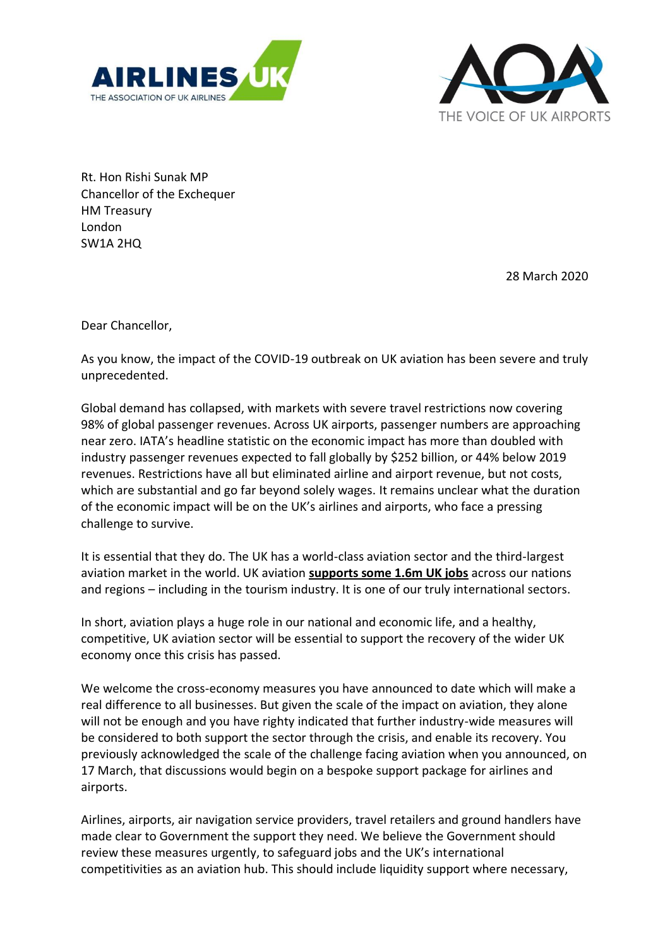



Rt. Hon Rishi Sunak MP Chancellor of the Exchequer HM Treasury London SW1A 2HQ

28 March 2020

Dear Chancellor,

As you know, the impact of the COVID-19 outbreak on UK aviation has been severe and truly unprecedented.

Global demand has collapsed, with markets with severe travel restrictions now covering 98% of global passenger revenues. Across UK airports, passenger numbers are approaching near zero. IATA's headline statistic on the economic impact has more than doubled with industry passenger revenues expected to fall globally by \$252 billion, or 44% below 2019 revenues. Restrictions have all but eliminated airline and airport revenue, but not costs, which are substantial and go far beyond solely wages. It remains unclear what the duration of the economic impact will be on the UK's airlines and airports, who face a pressing challenge to survive.

It is essential that they do. The UK has a world-class aviation sector and the third-largest aviation market in the world. UK aviation **supports some 1.6m UK jobs** across our nations and regions – including in the tourism industry. It is one of our truly international sectors.

In short, aviation plays a huge role in our national and economic life, and a healthy, competitive, UK aviation sector will be essential to support the recovery of the wider UK economy once this crisis has passed.

We welcome the cross-economy measures you have announced to date which will make a real difference to all businesses. But given the scale of the impact on aviation, they alone will not be enough and you have righty indicated that further industry-wide measures will be considered to both support the sector through the crisis, and enable its recovery. You previously acknowledged the scale of the challenge facing aviation when you announced, on 17 March, that discussions would begin on a bespoke support package for airlines and airports.

Airlines, airports, air navigation service providers, travel retailers and ground handlers have made clear to Government the support they need. We believe the Government should review these measures urgently, to safeguard jobs and the UK's international competitivities as an aviation hub. This should include liquidity support where necessary,